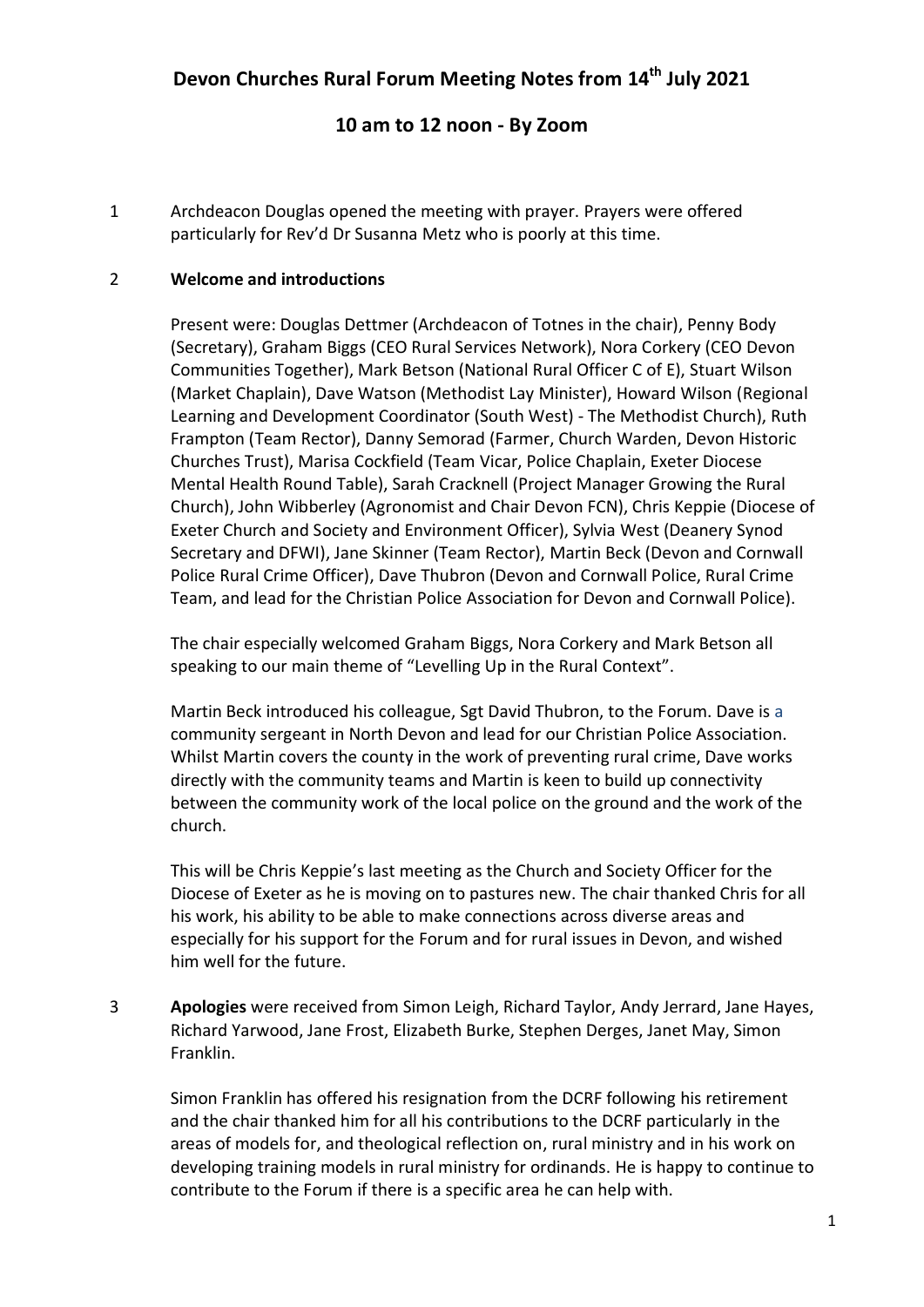# **10 am to 12 noon - By Zoom**

1 Archdeacon Douglas opened the meeting with prayer. Prayers were offered particularly for Rev'd Dr Susanna Metz who is poorly at this time.

### 2 **Welcome and introductions**

Present were: Douglas Dettmer (Archdeacon of Totnes in the chair), Penny Body (Secretary), Graham Biggs (CEO Rural Services Network), Nora Corkery (CEO Devon Communities Together), Mark Betson (National Rural Officer C of E), Stuart Wilson (Market Chaplain), Dave Watson (Methodist Lay Minister), Howard Wilson (Regional Learning and Development Coordinator (South West) - The Methodist Church), Ruth Frampton (Team Rector), Danny Semorad (Farmer, Church Warden, Devon Historic Churches Trust), Marisa Cockfield (Team Vicar, Police Chaplain, Exeter Diocese Mental Health Round Table), Sarah Cracknell (Project Manager Growing the Rural Church), John Wibberley (Agronomist and Chair Devon FCN), Chris Keppie (Diocese of Exeter Church and Society and Environment Officer), Sylvia West (Deanery Synod Secretary and DFWI), Jane Skinner (Team Rector), Martin Beck (Devon and Cornwall Police Rural Crime Officer), Dave Thubron (Devon and Cornwall Police, Rural Crime Team, and lead for the Christian Police Association for Devon and Cornwall Police).

The chair especially welcomed Graham Biggs, Nora Corkery and Mark Betson all speaking to our main theme of "Levelling Up in the Rural Context".

Martin Beck introduced his colleague, Sgt David Thubron, to the Forum. Dave is a community sergeant in North Devon and lead for our Christian Police Association. Whilst Martin covers the county in the work of preventing rural crime, Dave works directly with the community teams and Martin is keen to build up connectivity between the community work of the local police on the ground and the work of the church.

This will be Chris Keppie's last meeting as the Church and Society Officer for the Diocese of Exeter as he is moving on to pastures new. The chair thanked Chris for all his work, his ability to be able to make connections across diverse areas and especially for his support for the Forum and for rural issues in Devon, and wished him well for the future.

3 **Apologies** were received from Simon Leigh, Richard Taylor, Andy Jerrard, Jane Hayes, Richard Yarwood, Jane Frost, Elizabeth Burke, Stephen Derges, Janet May, Simon Franklin.

Simon Franklin has offered his resignation from the DCRF following his retirement and the chair thanked him for all his contributions to the DCRF particularly in the areas of models for, and theological reflection on, rural ministry and in his work on developing training models in rural ministry for ordinands. He is happy to continue to contribute to the Forum if there is a specific area he can help with.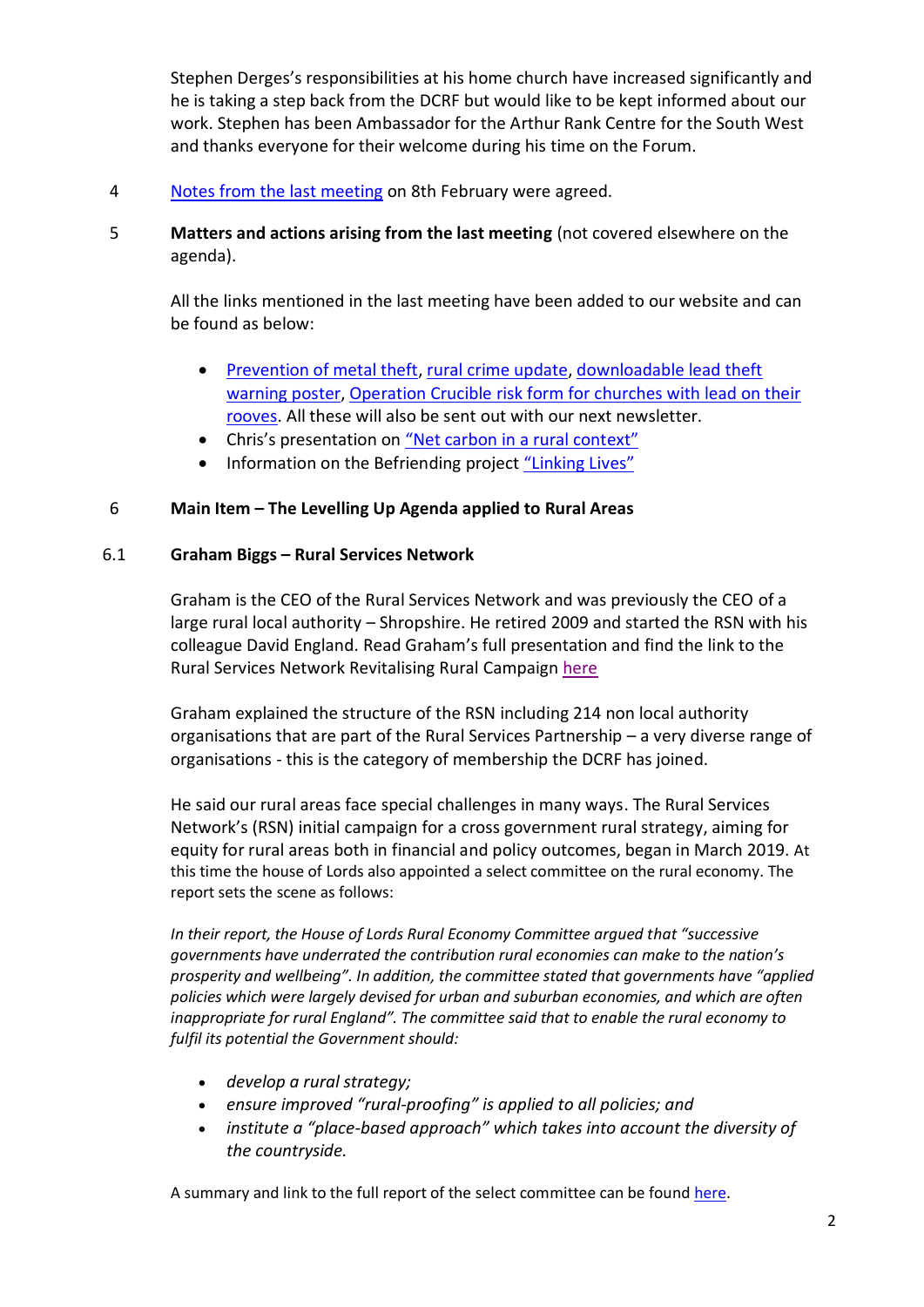Stephen Derges's responsibilities at his home church have increased significantly and he is taking a step back from the DCRF but would like to be kept informed about our work. Stephen has been Ambassador for the Arthur Rank Centre for the South West and thanks everyone for their welcome during his time on the Forum.

- 4 [Notes from the last meeting](https://www.devonchurchesruralforum.org.uk/devon-churches-rural-forum/meetings-minutes-agendas/meeting-minutes/) on 8th February were agreed.
- 5 **Matters and actions arising from the last meeting** (not covered elsewhere on the agenda).

All the links mentioned in the last meeting have been added to our website and can be found as below:

- [Prevention of metal theft,](https://www.devonchurchesruralforum.org.uk/buildings-and-bells/explore-churches/preventing-metal-theft.php) [rural crime update,](https://www.devonchurchesruralforum.org.uk/rural-issues/rural-crime/rural-crime-update.php) [downloadable lead theft](https://www.devonchurchesruralforum.org.uk/rural-issues/rural-crime/lead-theft-warning-poster.php)  [warning poster,](https://www.devonchurchesruralforum.org.uk/rural-issues/rural-crime/lead-theft-warning-poster.php) [Operation Crucible risk form for churches with lead on their](https://www.devonchurchesruralforum.org.uk/rural-issues/rural-crime/operation-crucible-form.php)  [rooves.](https://www.devonchurchesruralforum.org.uk/rural-issues/rural-crime/operation-crucible-form.php) All these will also be sent out with our next newsletter.
- Chris's presentation on ["Net carbon in a rural context"](https://www.devonchurchesruralforum.org.uk/environment/policies/what-does-net-zero-carbon-look-like-in-a-rural-context.php)
- Information on the Befriending project ["Linking Lives"](https://www.devonchurchesruralforum.org.uk/rural-issues/loneliness-and-social-isolation/linking-lives.php)

#### 6 **Main Item – The Levelling Up Agenda applied to Rural Areas**

#### 6.1 **Graham Biggs – Rural Services Network**

Graham is the CEO of the Rural Services Network and was previously the CEO of a large rural local authority – Shropshire. He retired 2009 and started the RSN with his colleague David England. Read Graham's full presentation and find the link to the Rural Services Network Revitalising Rural Campaign [here](https://www.devonchurchesruralforum.org.uk/rural-issues/rural-sustainability/)

Graham explained the structure of the RSN including 214 non local authority organisations that are part of the Rural Services Partnership – a very diverse range of organisations - this is the category of membership the DCRF has joined.

He said our rural areas face special challenges in many ways. The Rural Services Network's (RSN) initial campaign for a cross government rural strategy, aiming for equity for rural areas both in financial and policy outcomes, began in March 2019. At this time the house of Lords also appointed a select committee on the rural economy. The report sets the scene as follows:

*In their report, the House of Lords Rural Economy Committee argued that "successive governments have underrated the contribution rural economies can make to the nation's prosperity and wellbeing". In addition, the committee stated that governments have "applied policies which were largely devised for urban and suburban economies, and which are often inappropriate for rural England". The committee said that to enable the rural economy to fulfil its potential the Government should:*

- *develop a rural strategy;*
- *ensure improved "rural-proofing" is applied to all policies; and*
- *institute a "place-based approach" which takes into account the diversity of the countryside.*

A summary and link to the full report of the select committee can be found [here.](https://lordslibrary.parliament.uk/research-briefings/lln-2019-0110/)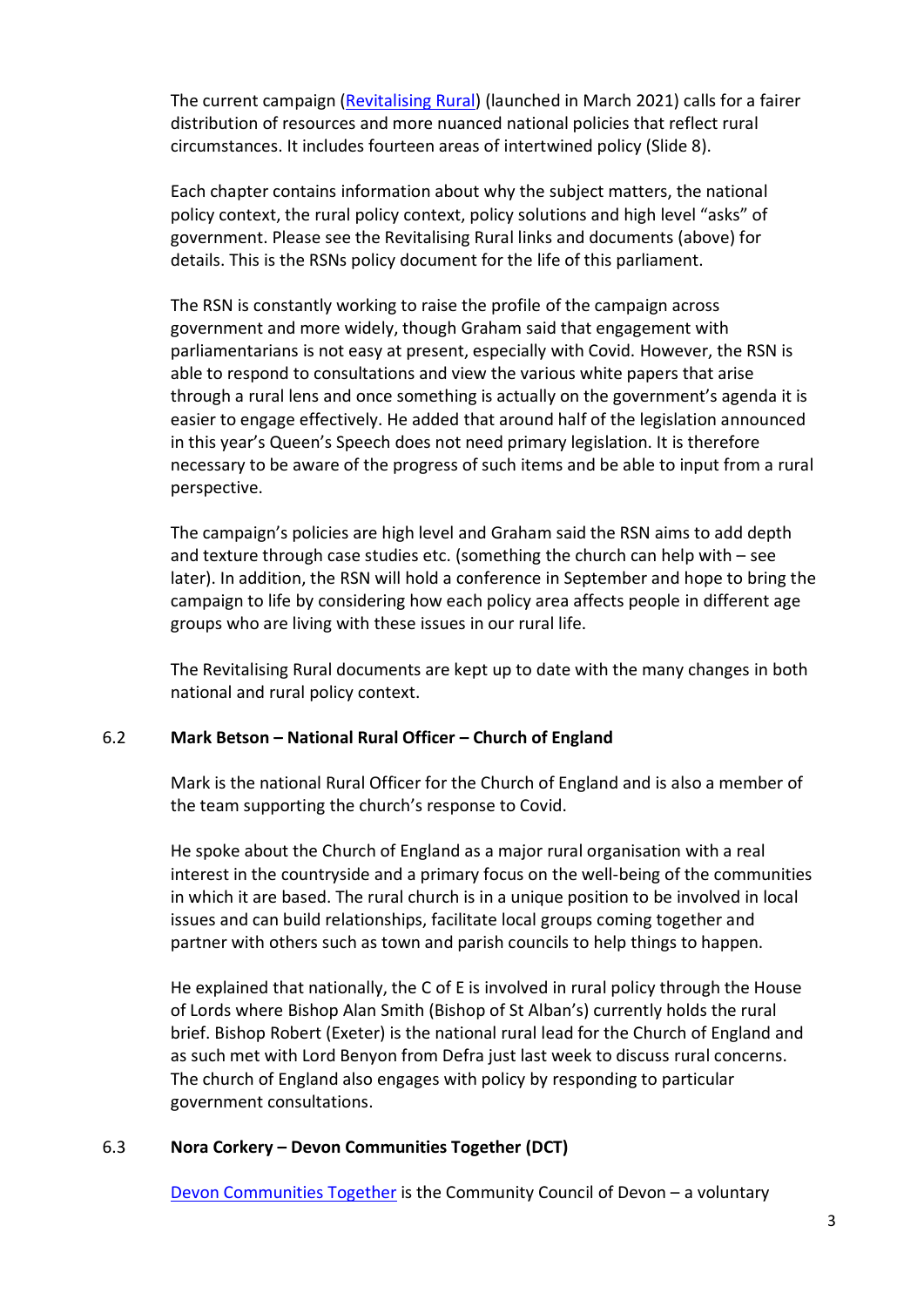The current campaign [\(Revitalising Rural\)](https://www.rsnonline.org.uk/revitalising-rural) (launched in March 2021) calls for a fairer distribution of resources and more nuanced national policies that reflect rural circumstances. It includes fourteen areas of intertwined policy (Slide 8).

Each chapter contains information about why the subject matters, the national policy context, the rural policy context, policy solutions and high level "asks" of government. Please see the Revitalising Rural links and documents (above) for details. This is the RSNs policy document for the life of this parliament.

The RSN is constantly working to raise the profile of the campaign across government and more widely, though Graham said that engagement with parliamentarians is not easy at present, especially with Covid. However, the RSN is able to respond to consultations and view the various white papers that arise through a rural lens and once something is actually on the government's agenda it is easier to engage effectively. He added that around half of the legislation announced in this year's Queen's Speech does not need primary legislation. It is therefore necessary to be aware of the progress of such items and be able to input from a rural perspective.

The campaign's policies are high level and Graham said the RSN aims to add depth and texture through case studies etc. (something the church can help with – see later). In addition, the RSN will hold a conference in September and hope to bring the campaign to life by considering how each policy area affects people in different age groups who are living with these issues in our rural life.

The Revitalising Rural documents are kept up to date with the many changes in both national and rural policy context.

#### 6.2 **Mark Betson – National Rural Officer – Church of England**

Mark is the national Rural Officer for the Church of England and is also a member of the team supporting the church's response to Covid.

He spoke about the Church of England as a major rural organisation with a real interest in the countryside and a primary focus on the well-being of the communities in which it are based. The rural church is in a unique position to be involved in local issues and can build relationships, facilitate local groups coming together and partner with others such as town and parish councils to help things to happen.

He explained that nationally, the C of E is involved in rural policy through the House of Lords where Bishop Alan Smith (Bishop of St Alban's) currently holds the rural brief. Bishop Robert (Exeter) is the national rural lead for the Church of England and as such met with Lord Benyon from Defra just last week to discuss rural concerns. The church of England also engages with policy by responding to particular government consultations.

#### 6.3 **Nora Corkery – Devon Communities Together (DCT)**

[Devon Communities Together](https://www.devoncommunities.org.uk/~devoncommunities/welcome) is the Community Council of Devon – a voluntary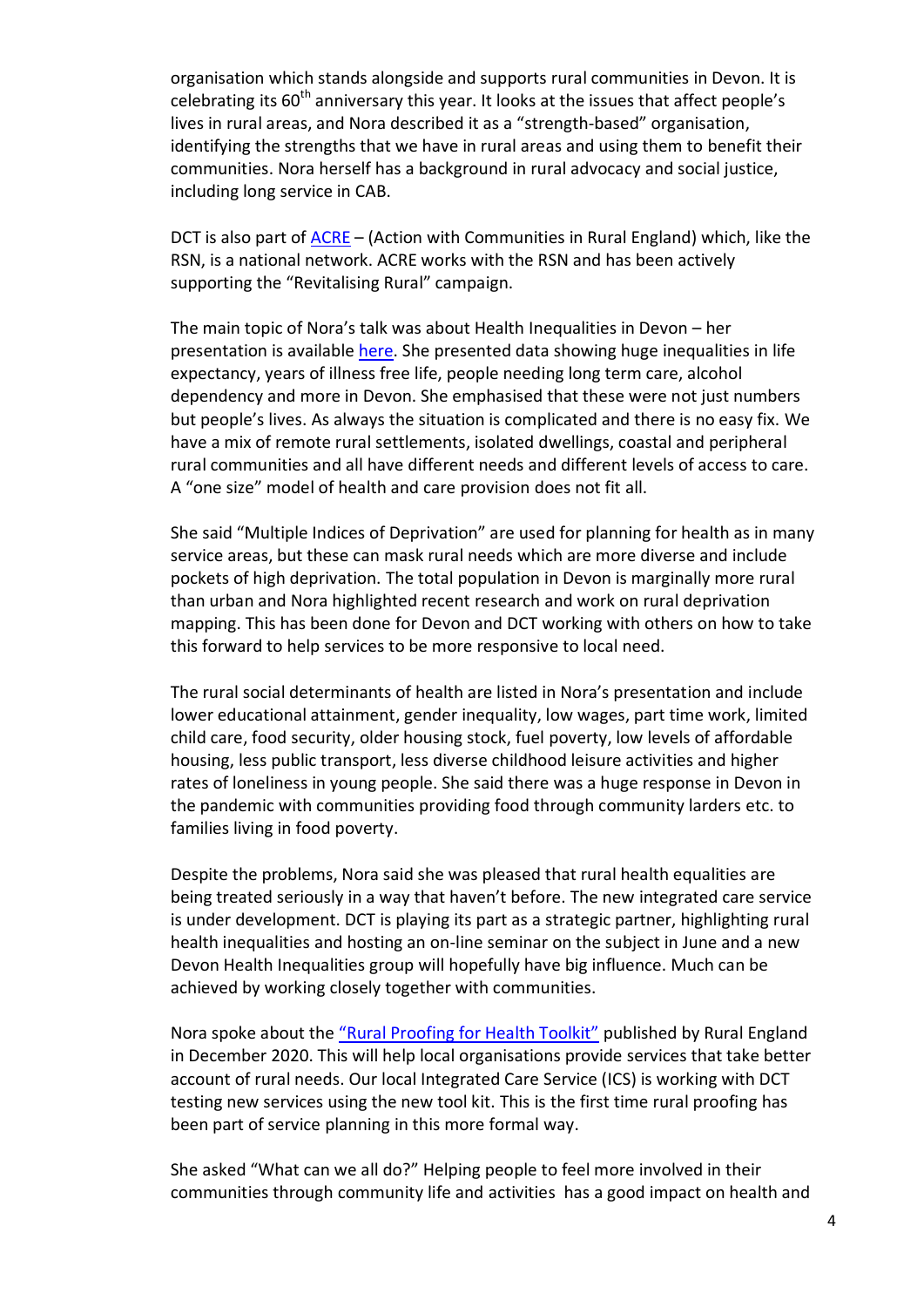organisation which stands alongside and supports rural communities in Devon. It is celebrating its 60<sup>th</sup> anniversary this year. It looks at the issues that affect people's lives in rural areas, and Nora described it as a "strength-based" organisation, identifying the strengths that we have in rural areas and using them to benefit their communities. Nora herself has a background in rural advocacy and social justice, including long service in CAB.

DCT is also part of [ACRE](https://acre.org.uk/) – (Action with Communities in Rural England) which, like the RSN, is a national network. ACRE works with the RSN and has been actively supporting the "Revitalising Rural" campaign.

The main topic of Nora's talk was about Health Inequalities in Devon – her presentation is available [here.](https://www.devonchurchesruralforum.org.uk/rural-issues/health-and-social-care/) She presented data showing huge inequalities in life expectancy, years of illness free life, people needing long term care, alcohol dependency and more in Devon. She emphasised that these were not just numbers but people's lives. As always the situation is complicated and there is no easy fix. We have a mix of remote rural settlements, isolated dwellings, coastal and peripheral rural communities and all have different needs and different levels of access to care. A "one size" model of health and care provision does not fit all.

She said "Multiple Indices of Deprivation" are used for planning for health as in many service areas, but these can mask rural needs which are more diverse and include pockets of high deprivation. The total population in Devon is marginally more rural than urban and Nora highlighted recent research and work on rural deprivation mapping. This has been done for Devon and DCT working with others on how to take this forward to help services to be more responsive to local need.

The rural social determinants of health are listed in Nora's presentation and include lower educational attainment, gender inequality, low wages, part time work, limited child care, food security, older housing stock, fuel poverty, low levels of affordable housing, less public transport, less diverse childhood leisure activities and higher rates of loneliness in young people. She said there was a huge response in Devon in the pandemic with communities providing food through community larders etc. to families living in food poverty.

Despite the problems, Nora said she was pleased that rural health equalities are being treated seriously in a way that haven't before. The new integrated care service is under development. DCT is playing its part as a strategic partner, highlighting rural health inequalities and hosting an on-line seminar on the subject in June and a new Devon Health Inequalities group will hopefully have big influence. Much can be achieved by working closely together with communities.

Nora spoke about the ["Rural Proofing for Health Toolkit"](https://ruralengland.org/rural-proofing-for-health-toolkit/) published by Rural England in December 2020. This will help local organisations provide services that take better account of rural needs. Our local Integrated Care Service (ICS) is working with DCT testing new services using the new tool kit. This is the first time rural proofing has been part of service planning in this more formal way.

She asked "What can we all do?" Helping people to feel more involved in their communities through community life and activities has a good impact on health and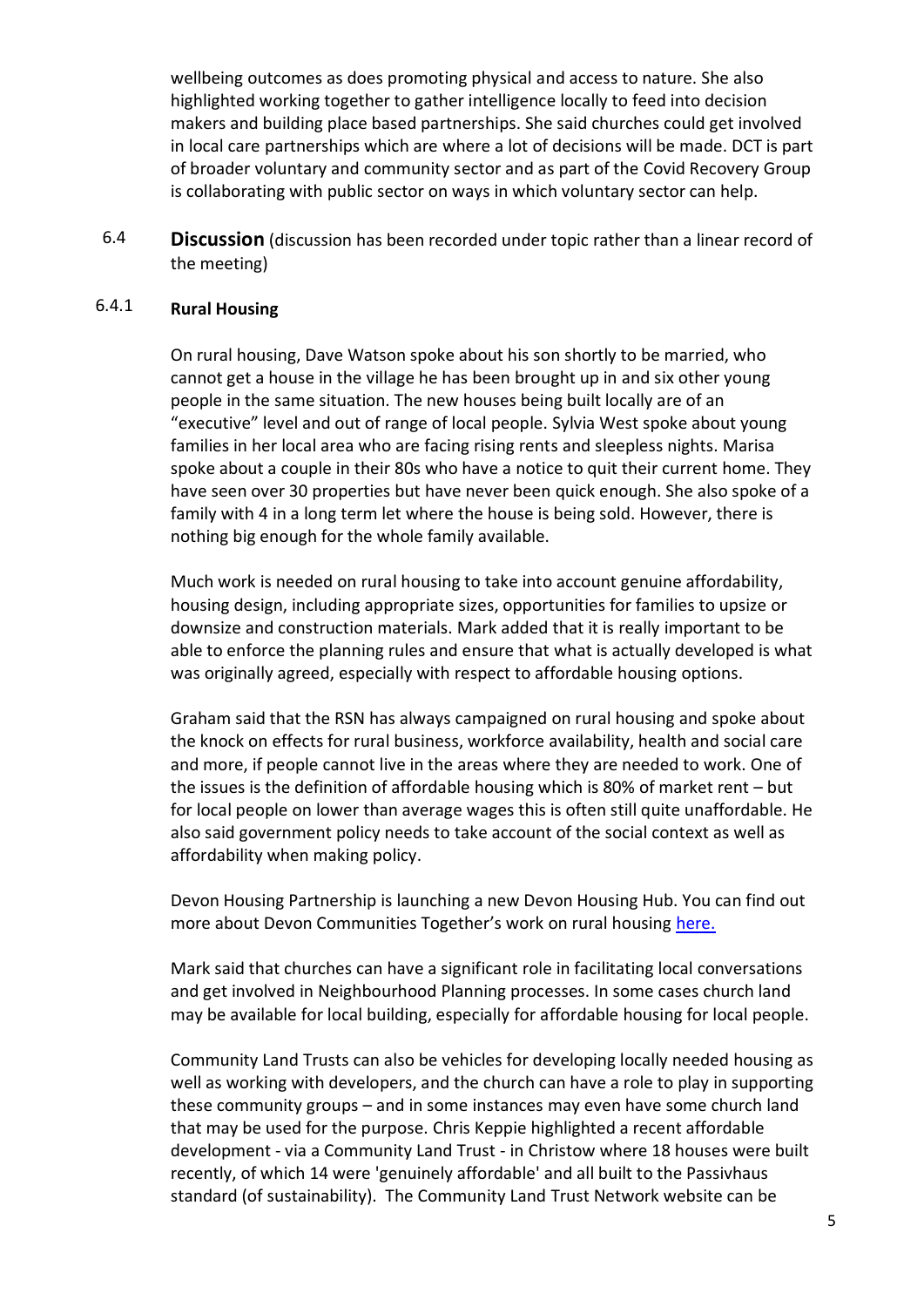wellbeing outcomes as does promoting physical and access to nature. She also highlighted working together to gather intelligence locally to feed into decision makers and building place based partnerships. She said churches could get involved in local care partnerships which are where a lot of decisions will be made. DCT is part of broader voluntary and community sector and as part of the Covid Recovery Group is collaborating with public sector on ways in which voluntary sector can help.

6.4 **Discussion** (discussion has been recorded under topic rather than a linear record of the meeting)

#### 6.4.1 **Rural Housing**

On rural housing, Dave Watson spoke about his son shortly to be married, who cannot get a house in the village he has been brought up in and six other young people in the same situation. The new houses being built locally are of an "executive" level and out of range of local people. Sylvia West spoke about young families in her local area who are facing rising rents and sleepless nights. Marisa spoke about a couple in their 80s who have a notice to quit their current home. They have seen over 30 properties but have never been quick enough. She also spoke of a family with 4 in a long term let where the house is being sold. However, there is nothing big enough for the whole family available.

Much work is needed on rural housing to take into account genuine affordability, housing design, including appropriate sizes, opportunities for families to upsize or downsize and construction materials. Mark added that it is really important to be able to enforce the planning rules and ensure that what is actually developed is what was originally agreed, especially with respect to affordable housing options.

Graham said that the RSN has always campaigned on rural housing and spoke about the knock on effects for rural business, workforce availability, health and social care and more, if people cannot live in the areas where they are needed to work. One of the issues is the definition of affordable housing which is 80% of market rent – but for local people on lower than average wages this is often still quite unaffordable. He also said government policy needs to take account of the social context as well as affordability when making policy.

Devon Housing Partnership is launching a new Devon Housing Hub. You can find out more about Devon Communities Together's work on rural housing [here.](https://www.devoncommunities.org.uk/services/rural-housing)

Mark said that churches can have a significant role in facilitating local conversations and get involved in Neighbourhood Planning processes. In some cases church land may be available for local building, especially for affordable housing for local people.

Community Land Trusts can also be vehicles for developing locally needed housing as well as working with developers, and the church can have a role to play in supporting these community groups – and in some instances may even have some church land that may be used for the purpose. Chris Keppie highlighted a recent affordable development - via a Community Land Trust - in Christow where 18 houses were built recently, of which 14 were 'genuinely affordable' and all built to the Passivhaus standard (of sustainability). The Community Land Trust Network website can be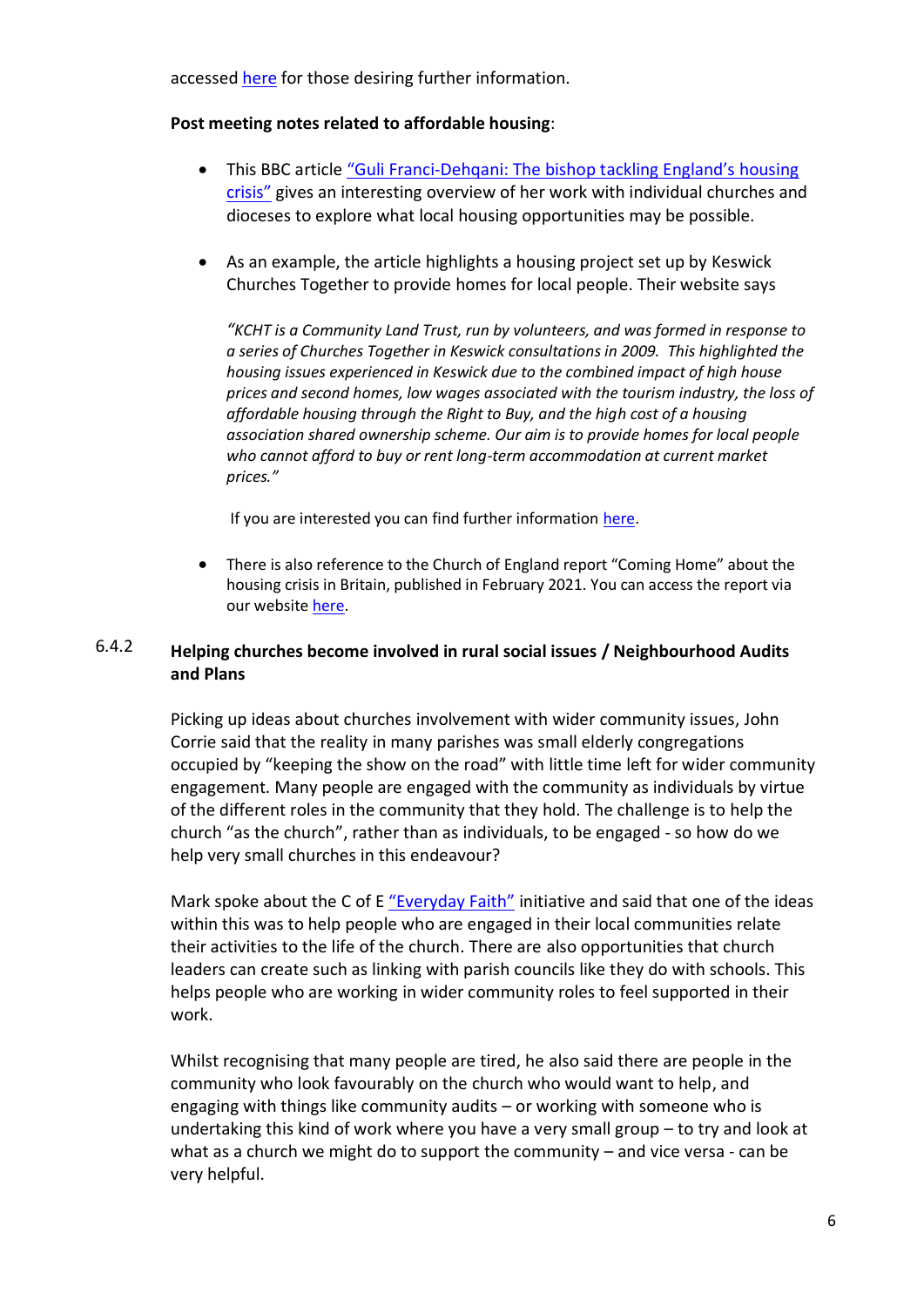accessed [here](https://www.communitylandtrusts.org.uk/) for those desiring further information.

### **Post meeting notes related to affordable housing**:

- This BBC article "Guli Franci-[Dehqani: The bishop tackling England's housing](https://www.bbc.co.uk/news/uk-politics-57985577)  [crisis"](https://www.bbc.co.uk/news/uk-politics-57985577) gives an interesting overview of her work with individual churches and dioceses to explore what local housing opportunities may be possible.
- As an example, the article highlights a housing project set up by Keswick Churches Together to provide homes for local people. Their website says

*"KCHT is a Community Land Trust, run by volunteers, and was formed in response to a series of Churches Together in Keswick consultations in 2009. This highlighted the housing issues experienced in Keswick due to the combined impact of high house prices and second homes, low wages associated with the tourism industry, the loss of affordable housing through the Right to Buy, and the high cost of a housing association shared ownership scheme. Our aim is to provide homes for local people who cannot afford to buy or rent long-term accommodation at current market prices."*

If you are interested you can find further information [here.](https://www.keswickcommunityhousingtrust.co.uk/about.html)

 There is also reference to the Church of England report "Coming Home" about the housing crisis in Britain, published in February 2021. You can access the report via our website [here.](https://www.devonchurchesruralforum.org.uk/rural-issues/housing/coming-home.php)

### 6.4.2 **Helping churches become involved in rural social issues / Neighbourhood Audits and Plans**

Picking up ideas about churches involvement with wider community issues, John Corrie said that the reality in many parishes was small elderly congregations occupied by "keeping the show on the road" with little time left for wider community engagement. Many people are engaged with the community as individuals by virtue of the different roles in the community that they hold. The challenge is to help the church "as the church", rather than as individuals, to be engaged - so how do we help very small churches in this endeavour?

Mark spoke about the C of E ["Everyday Faith"](https://www.churchofengland.org/our-faith/everyday-faith) initiative and said that one of the ideas within this was to help people who are engaged in their local communities relate their activities to the life of the church. There are also opportunities that church leaders can create such as linking with parish councils like they do with schools. This helps people who are working in wider community roles to feel supported in their work.

Whilst recognising that many people are tired, he also said there are people in the community who look favourably on the church who would want to help, and engaging with things like community audits – or working with someone who is undertaking this kind of work where you have a very small group – to try and look at what as a church we might do to support the community  $-$  and vice versa - can be very helpful.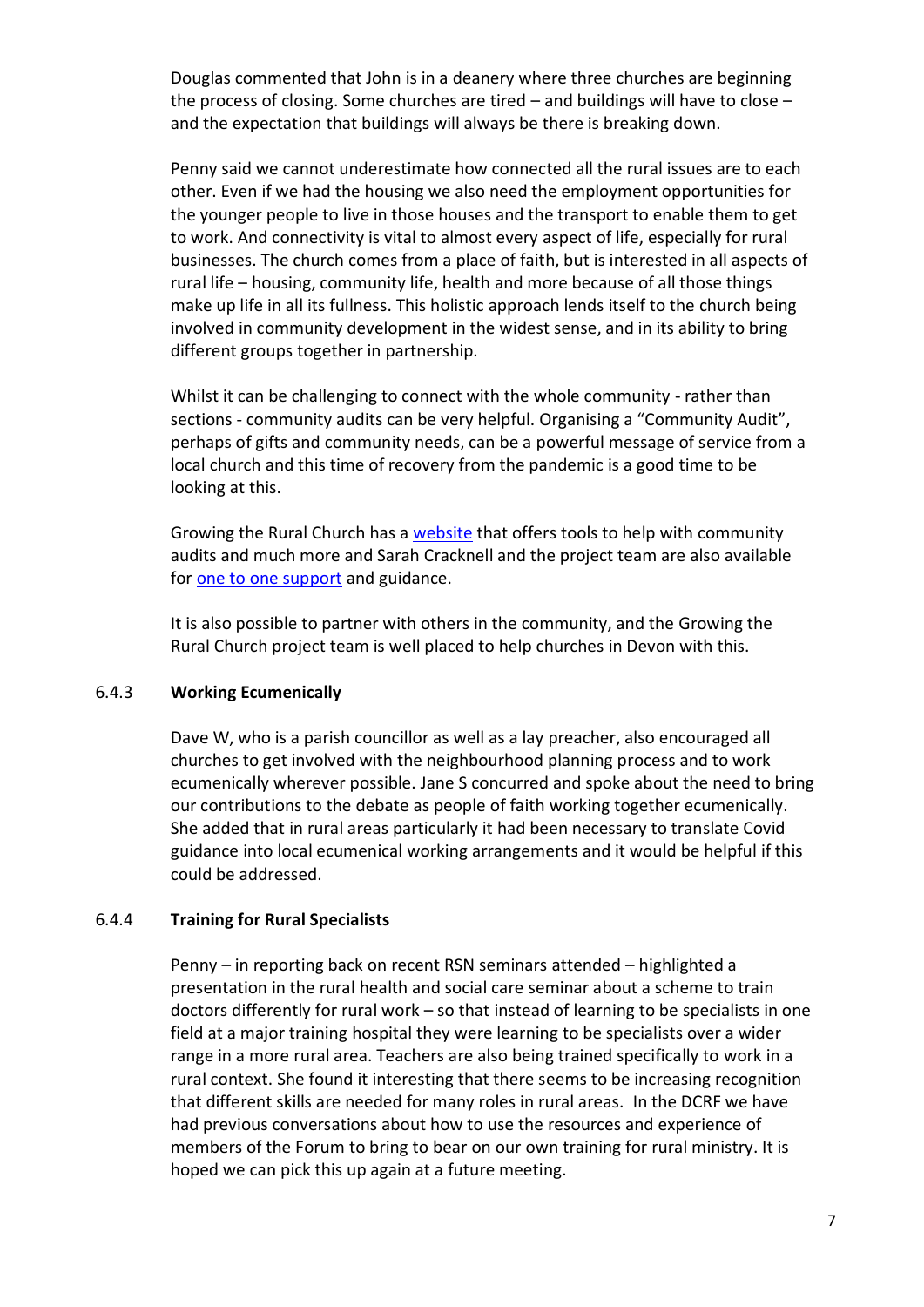Douglas commented that John is in a deanery where three churches are beginning the process of closing. Some churches are tired – and buildings will have to close – and the expectation that buildings will always be there is breaking down.

Penny said we cannot underestimate how connected all the rural issues are to each other. Even if we had the housing we also need the employment opportunities for the younger people to live in those houses and the transport to enable them to get to work. And connectivity is vital to almost every aspect of life, especially for rural businesses. The church comes from a place of faith, but is interested in all aspects of rural life – housing, community life, health and more because of all those things make up life in all its fullness. This holistic approach lends itself to the church being involved in community development in the widest sense, and in its ability to bring different groups together in partnership.

Whilst it can be challenging to connect with the whole community - rather than sections - community audits can be very helpful. Organising a "Community Audit", perhaps of gifts and community needs, can be a powerful message of service from a local church and this time of recovery from the pandemic is a good time to be looking at this.

Growing the Rural Church has a [website](https://www.growingtheruralchurch.org/resource/) that offers tools to help with community audits and much more and Sarah Cracknell and the project team are also available for [one to one support](https://www.growingtheruralchurch.org/contact-gtrc/) and guidance.

It is also possible to partner with others in the community, and the Growing the Rural Church project team is well placed to help churches in Devon with this.

#### 6.4.3 **Working Ecumenically**

Dave W, who is a parish councillor as well as a lay preacher, also encouraged all churches to get involved with the neighbourhood planning process and to work ecumenically wherever possible. Jane S concurred and spoke about the need to bring our contributions to the debate as people of faith working together ecumenically. She added that in rural areas particularly it had been necessary to translate Covid guidance into local ecumenical working arrangements and it would be helpful if this could be addressed.

#### 6.4.4 **Training for Rural Specialists**

Penny – in reporting back on recent RSN seminars attended – highlighted a presentation in the rural health and social care seminar about a scheme to train doctors differently for rural work – so that instead of learning to be specialists in one field at a major training hospital they were learning to be specialists over a wider range in a more rural area. Teachers are also being trained specifically to work in a rural context. She found it interesting that there seems to be increasing recognition that different skills are needed for many roles in rural areas. In the DCRF we have had previous conversations about how to use the resources and experience of members of the Forum to bring to bear on our own training for rural ministry. It is hoped we can pick this up again at a future meeting.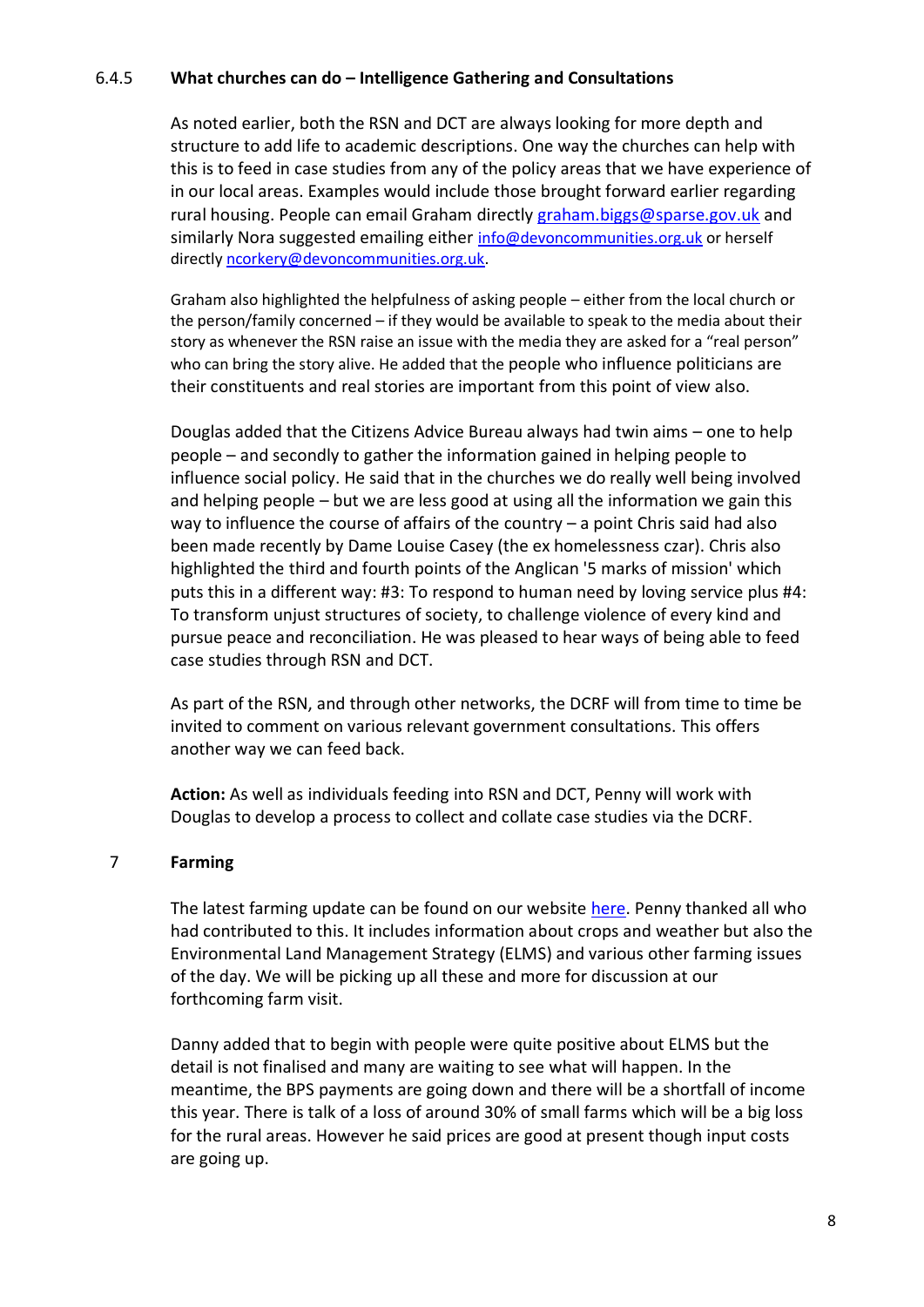### 6.4.5 **What churches can do – Intelligence Gathering and Consultations**

As noted earlier, both the RSN and DCT are always looking for more depth and structure to add life to academic descriptions. One way the churches can help with this is to feed in case studies from any of the policy areas that we have experience of in our local areas. Examples would include those brought forward earlier regarding rural housing. People can email Graham directly [graham.biggs@sparse.gov.uk](mailto:graham.biggs@sparse.gov.uk) and similarly Nora suggested emailing either [info@devoncommunities.org.uk](mailto:info@devoncommunities.org.uk) or herself directly [ncorkery@devoncommunities.org.uk.](mailto:ncorkery@devoncommunities.org.uk)

Graham also highlighted the helpfulness of asking people – either from the local church or the person/family concerned – if they would be available to speak to the media about their story as whenever the RSN raise an issue with the media they are asked for a "real person" who can bring the story alive. He added that the people who influence politicians are their constituents and real stories are important from this point of view also.

Douglas added that the Citizens Advice Bureau always had twin aims – one to help people – and secondly to gather the information gained in helping people to influence social policy. He said that in the churches we do really well being involved and helping people – but we are less good at using all the information we gain this way to influence the course of affairs of the country – a point Chris said had also been made recently by Dame Louise Casey (the ex homelessness czar). Chris also highlighted the third and fourth points of the Anglican '5 marks of mission' which puts this in a different way: #3: To respond to human need by loving service plus #4: To transform unjust structures of society, to challenge violence of every kind and pursue peace and reconciliation. He was pleased to hear ways of being able to feed case studies through RSN and DCT.

As part of the RSN, and through other networks, the DCRF will from time to time be invited to comment on various relevant government consultations. This offers another way we can feed back.

**Action:** As well as individuals feeding into RSN and DCT, Penny will work with Douglas to develop a process to collect and collate case studies via the DCRF.

### 7 **Farming**

The latest farming update can be found on our website [here.](https://www.devonchurchesruralforum.org.uk/farming/farming-reports/farming-update-prepared-for-dcrf-meeting-july-14th-2021.php) Penny thanked all who had contributed to this. It includes information about crops and weather but also the Environmental Land Management Strategy (ELMS) and various other farming issues of the day. We will be picking up all these and more for discussion at our forthcoming farm visit.

Danny added that to begin with people were quite positive about ELMS but the detail is not finalised and many are waiting to see what will happen. In the meantime, the BPS payments are going down and there will be a shortfall of income this year. There is talk of a loss of around 30% of small farms which will be a big loss for the rural areas. However he said prices are good at present though input costs are going up.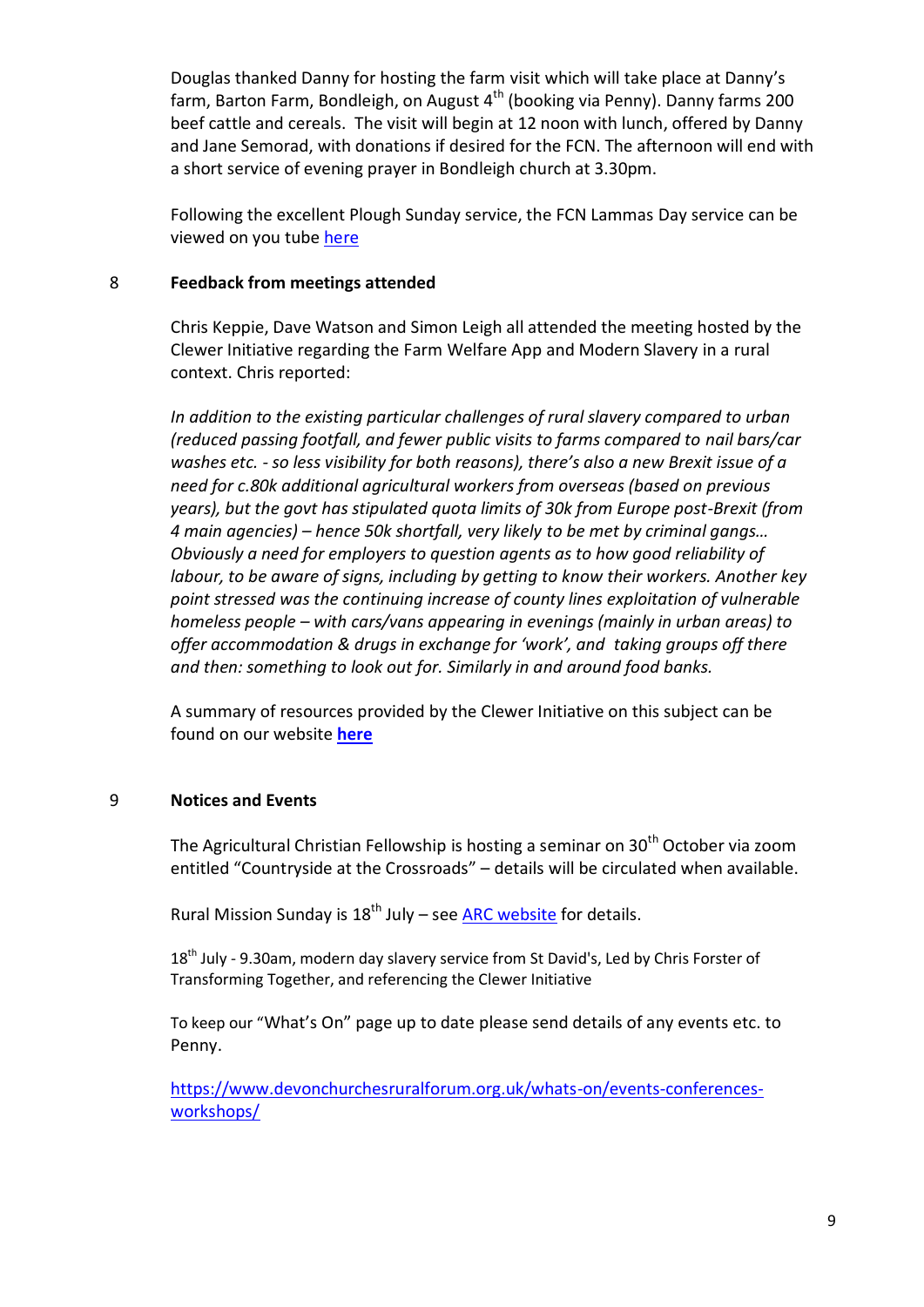Douglas thanked Danny for hosting the farm visit which will take place at Danny's farm, Barton Farm, Bondleigh, on August  $4<sup>th</sup>$  (booking via Penny). Danny farms 200 beef cattle and cereals. The visit will begin at 12 noon with lunch, offered by Danny and Jane Semorad, with donations if desired for the FCN. The afternoon will end with a short service of evening prayer in Bondleigh church at 3.30pm.

Following the excellent Plough Sunday service, the FCN Lammas Day service can be viewed on you tube [here](https://www.youtube.com/watch?v=GHk5U_XH4XY) 

### 8 **Feedback from meetings attended**

Chris Keppie, Dave Watson and Simon Leigh all attended the meeting hosted by the Clewer Initiative regarding the Farm Welfare App and Modern Slavery in a rural context. Chris reported:

*In addition to the existing particular challenges of rural slavery compared to urban (reduced passing footfall, and fewer public visits to farms compared to nail bars/car washes etc. - so less visibility for both reasons), there's also a new Brexit issue of a need for c.80k additional agricultural workers from overseas (based on previous years), but the govt has stipulated quota limits of 30k from Europe post-Brexit (from 4 main agencies) – hence 50k shortfall, very likely to be met by criminal gangs… Obviously a need for employers to question agents as to how good reliability of labour, to be aware of signs, including by getting to know their workers. Another key point stressed was the continuing increase of county lines exploitation of vulnerable homeless people – with cars/vans appearing in evenings (mainly in urban areas) to offer accommodation & drugs in exchange for 'work', and taking groups off there and then: something to look out for. Similarly in and around food banks.*

A summary of resources provided by the Clewer Initiative on this subject can be found on our website **[here](https://www.devonchurchesruralforum.org.uk/control/content/page.php?page_id=310)**

## 9 **Notices and Events**

The Agricultural Christian Fellowship is hosting a seminar on 30<sup>th</sup> October via zoom entitled "Countryside at the Crossroads" – details will be circulated when available.

Rural Mission Sunday is  $18^{th}$  July – see [ARC website](https://arthurrankcentre.org.uk/) for details.

18<sup>th</sup> July - 9.30am, modern day slavery service from St David's, Led by Chris Forster of Transforming Together, and referencing the Clewer Initiative

To keep our "What's On" page up to date please send details of any events etc. to Penny.

[https://www.devonchurchesruralforum.org.uk/whats-on/events-conferences](https://www.devonchurchesruralforum.org.uk/whats-on/events-conferences-workshops/)[workshops/](https://www.devonchurchesruralforum.org.uk/whats-on/events-conferences-workshops/)